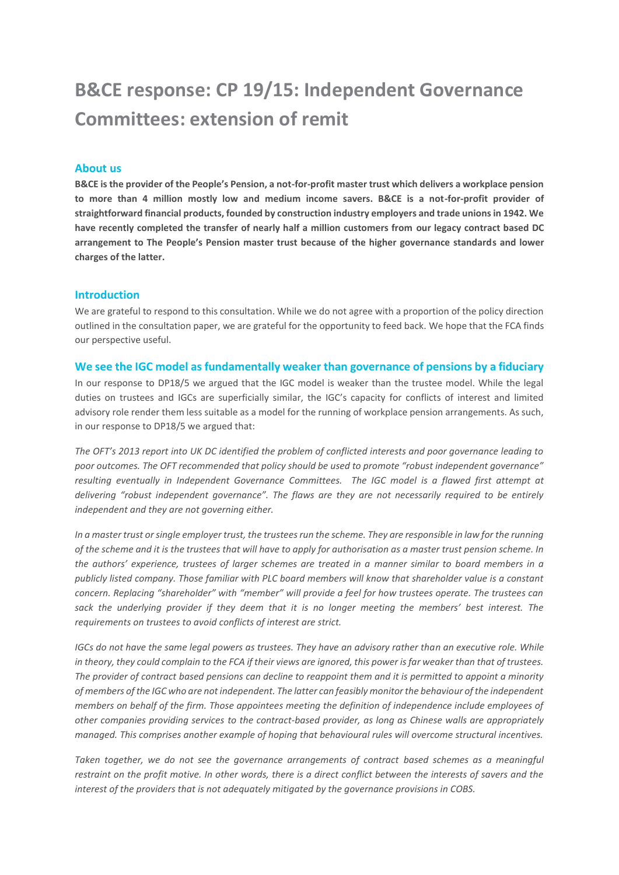# **B&CE response: CP 19/15: Independent Governance Committees: extension of remit**

### **About us**

**B&CE is the provider of the People's Pension, a not-for-profit master trust which delivers a workplace pension to more than 4 million mostly low and medium income savers. B&CE is a not-for-profit provider of straightforward financial products, founded by construction industry employers and trade unions in 1942. We have recently completed the transfer of nearly half a million customers from our legacy contract based DC arrangement to The People's Pension master trust because of the higher governance standards and lower charges of the latter.**

#### **Introduction**

We are grateful to respond to this consultation. While we do not agree with a proportion of the policy direction outlined in the consultation paper, we are grateful for the opportunity to feed back. We hope that the FCA finds our perspective useful.

#### **We see the IGC model as fundamentally weaker than governance of pensions by a fiduciary**

In our response to DP18/5 we argued that the IGC model is weaker than the trustee model. While the legal duties on trustees and IGCs are superficially similar, the IGC's capacity for conflicts of interest and limited advisory role render them less suitable as a model for the running of workplace pension arrangements. As such, in our response to DP18/5 we argued that:

*The OFT's 2013 report into UK DC identified the problem of conflicted interests and poor governance leading to poor outcomes. The OFT recommended that policy should be used to promote "robust independent governance" resulting eventually in Independent Governance Committees. The IGC model is a flawed first attempt at delivering "robust independent governance". The flaws are they are not necessarily required to be entirely independent and they are not governing either.* 

*In a master trust or single employer trust, the trustees run the scheme. They are responsible in law for the running of the scheme and it is the trustees that will have to apply for authorisation as a master trust pension scheme. In the authors' experience, trustees of larger schemes are treated in a manner similar to board members in a publicly listed company. Those familiar with PLC board members will know that shareholder value is a constant concern. Replacing "shareholder" with "member" will provide a feel for how trustees operate. The trustees can sack the underlying provider if they deem that it is no longer meeting the members' best interest. The requirements on trustees to avoid conflicts of interest are strict.*

*IGCs do not have the same legal powers as trustees. They have an advisory rather than an executive role. While in theory, they could complain to the FCA if their views are ignored, this power is far weaker than that of trustees. The provider of contract based pensions can decline to reappoint them and it is permitted to appoint a minority of members of the IGC who are not independent. The latter can feasibly monitor the behaviour of the independent members on behalf of the firm. Those appointees meeting the definition of independence include employees of other companies providing services to the contract-based provider, as long as Chinese walls are appropriately managed. This comprises another example of hoping that behavioural rules will overcome structural incentives.* 

Taken together, we do not see the governance arrangements of contract based schemes as a meaningful *restraint on the profit motive. In other words, there is a direct conflict between the interests of savers and the interest of the providers that is not adequately mitigated by the governance provisions in COBS.*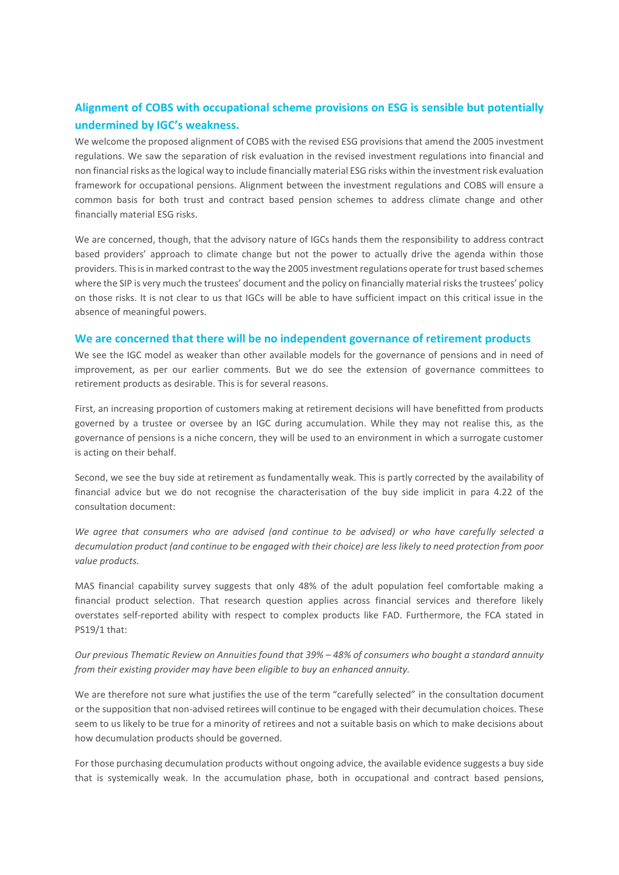# **Alignment of COBS with occupational scheme provisions on ESG is sensible but potentially undermined by IGC's weakness.**

We welcome the proposed alignment of COBS with the revised ESG provisions that amend the 2005 investment regulations. We saw the separation of risk evaluation in the revised investment regulations into financial and non financial risks as the logical way to include financially material ESG risks within the investment risk evaluation framework for occupational pensions. Alignment between the investment regulations and COBS will ensure a common basis for both trust and contract based pension schemes to address climate change and other financially material ESG risks.

We are concerned, though, that the advisory nature of IGCs hands them the responsibility to address contract based providers' approach to climate change but not the power to actually drive the agenda within those providers. This is in marked contrast to the way the 2005 investment regulations operate for trust based schemes where the SIP is very much the trustees' document and the policy on financially material risks the trustees' policy on those risks. It is not clear to us that IGCs will be able to have sufficient impact on this critical issue in the absence of meaningful powers.

### **We are concerned that there will be no independent governance of retirement products**

We see the IGC model as weaker than other available models for the governance of pensions and in need of improvement, as per our earlier comments. But we do see the extension of governance committees to retirement products as desirable. This is for several reasons.

First, an increasing proportion of customers making at retirement decisions will have benefitted from products governed by a trustee or oversee by an IGC during accumulation. While they may not realise this, as the governance of pensions is a niche concern, they will be used to an environment in which a surrogate customer is acting on their behalf.

Second, we see the buy side at retirement as fundamentally weak. This is partly corrected by the availability of financial advice but we do not recognise the characterisation of the buy side implicit in para 4.22 of the consultation document:

*We agree that consumers who are advised (and continue to be advised) or who have carefully selected a decumulation product (and continue to be engaged with their choice) are less likely to need protection from poor value products.*

MAS financial capability survey suggests that only 48% of the adult population feel comfortable making a financial product selection. That research question applies across financial services and therefore likely overstates self-reported ability with respect to complex products like FAD. Furthermore, the FCA stated in PS19/1 that:

## *Our previous Thematic Review on Annuities found that 39% – 48% of consumers who bought a standard annuity from their existing provider may have been eligible to buy an enhanced annuity.*

We are therefore not sure what justifies the use of the term "carefully selected" in the consultation document or the supposition that non-advised retirees will continue to be engaged with their decumulation choices. These seem to us likely to be true for a minority of retirees and not a suitable basis on which to make decisions about how decumulation products should be governed.

For those purchasing decumulation products without ongoing advice, the available evidence suggests a buy side that is systemically weak. In the accumulation phase, both in occupational and contract based pensions,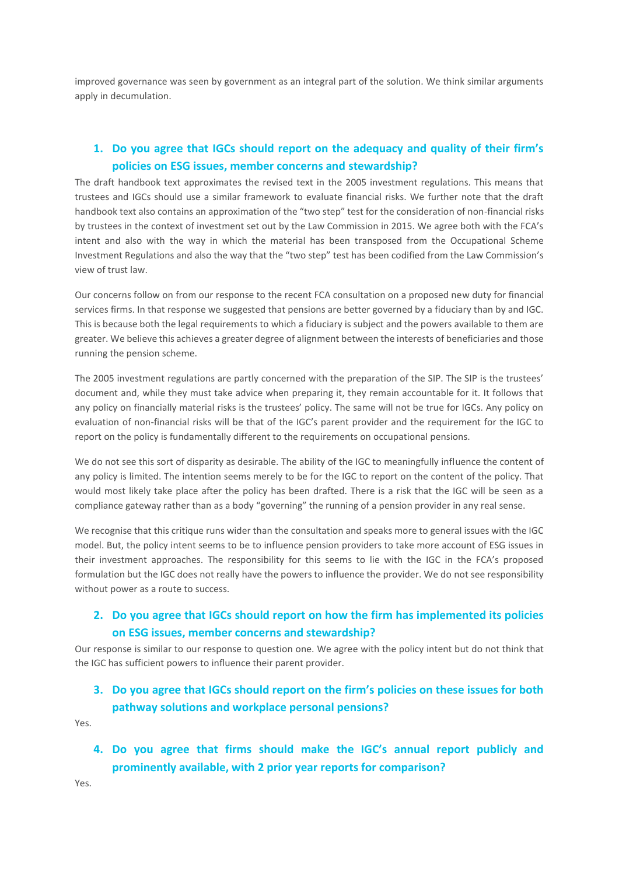improved governance was seen by government as an integral part of the solution. We think similar arguments apply in decumulation.

## **1. Do you agree that IGCs should report on the adequacy and quality of their firm's policies on ESG issues, member concerns and stewardship?**

The draft handbook text approximates the revised text in the 2005 investment regulations. This means that trustees and IGCs should use a similar framework to evaluate financial risks. We further note that the draft handbook text also contains an approximation of the "two step" test for the consideration of non-financial risks by trustees in the context of investment set out by the Law Commission in 2015. We agree both with the FCA's intent and also with the way in which the material has been transposed from the Occupational Scheme Investment Regulations and also the way that the "two step" test has been codified from the Law Commission's view of trust law.

Our concerns follow on from our response to the recent FCA consultation on a proposed new duty for financial services firms. In that response we suggested that pensions are better governed by a fiduciary than by and IGC. This is because both the legal requirements to which a fiduciary is subject and the powers available to them are greater. We believe this achieves a greater degree of alignment between the interests of beneficiaries and those running the pension scheme.

The 2005 investment regulations are partly concerned with the preparation of the SIP. The SIP is the trustees' document and, while they must take advice when preparing it, they remain accountable for it. It follows that any policy on financially material risks is the trustees' policy. The same will not be true for IGCs. Any policy on evaluation of non-financial risks will be that of the IGC's parent provider and the requirement for the IGC to report on the policy is fundamentally different to the requirements on occupational pensions.

We do not see this sort of disparity as desirable. The ability of the IGC to meaningfully influence the content of any policy is limited. The intention seems merely to be for the IGC to report on the content of the policy. That would most likely take place after the policy has been drafted. There is a risk that the IGC will be seen as a compliance gateway rather than as a body "governing" the running of a pension provider in any real sense.

We recognise that this critique runs wider than the consultation and speaks more to general issues with the IGC model. But, the policy intent seems to be to influence pension providers to take more account of ESG issues in their investment approaches. The responsibility for this seems to lie with the IGC in the FCA's proposed formulation but the IGC does not really have the powers to influence the provider. We do not see responsibility without power as a route to success.

## **2. Do you agree that IGCs should report on how the firm has implemented its policies on ESG issues, member concerns and stewardship?**

Our response is similar to our response to question one. We agree with the policy intent but do not think that the IGC has sufficient powers to influence their parent provider.

## **3. Do you agree that IGCs should report on the firm's policies on these issues for both pathway solutions and workplace personal pensions?**

Yes.

**4. Do you agree that firms should make the IGC's annual report publicly and prominently available, with 2 prior year reports for comparison?**

Yes.